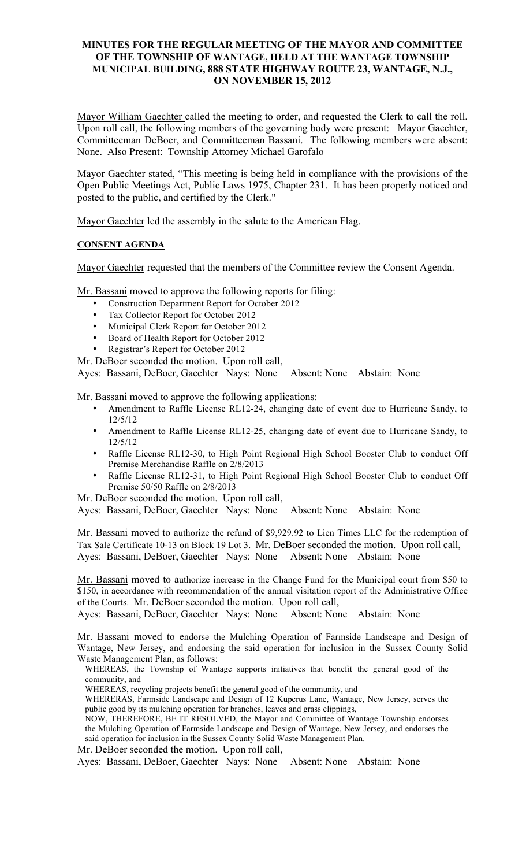### **MINUTES FOR THE REGULAR MEETING OF THE MAYOR AND COMMITTEE OF THE TOWNSHIP OF WANTAGE, HELD AT THE WANTAGE TOWNSHIP MUNICIPAL BUILDING, 888 STATE HIGHWAY ROUTE 23, WANTAGE, N.J., ON NOVEMBER 15, 2012**

Mayor William Gaechter called the meeting to order, and requested the Clerk to call the roll. Upon roll call, the following members of the governing body were present: Mayor Gaechter, Committeeman DeBoer, and Committeeman Bassani. The following members were absent: None. Also Present: Township Attorney Michael Garofalo

Mayor Gaechter stated, "This meeting is being held in compliance with the provisions of the Open Public Meetings Act, Public Laws 1975, Chapter 231. It has been properly noticed and posted to the public, and certified by the Clerk."

Mayor Gaechter led the assembly in the salute to the American Flag.

### **CONSENT AGENDA**

Mayor Gaechter requested that the members of the Committee review the Consent Agenda.

Mr. Bassani moved to approve the following reports for filing:

- Construction Department Report for October 2012
- Tax Collector Report for October 2012
- Municipal Clerk Report for October 2012
- Board of Health Report for October 2012
- Registrar's Report for October 2012

Mr. DeBoer seconded the motion. Upon roll call,

Ayes: Bassani, DeBoer, Gaechter Nays: None Absent: None Abstain: None

Mr. Bassani moved to approve the following applications:

- Amendment to Raffle License RL12-24, changing date of event due to Hurricane Sandy, to 12/5/12
- Amendment to Raffle License RL12-25, changing date of event due to Hurricane Sandy, to 12/5/12
- Raffle License RL12-30, to High Point Regional High School Booster Club to conduct Off Premise Merchandise Raffle on 2/8/2013
- Raffle License RL12-31, to High Point Regional High School Booster Club to conduct Off Premise 50/50 Raffle on 2/8/2013

Mr. DeBoer seconded the motion. Upon roll call,

Ayes: Bassani, DeBoer, Gaechter Nays: None Absent: None Abstain: None

Mr. Bassani moved to authorize the refund of \$9,929.92 to Lien Times LLC for the redemption of Tax Sale Certificate 10-13 on Block 19 Lot 3. Mr. DeBoer seconded the motion. Upon roll call, Ayes: Bassani, DeBoer, Gaechter Nays: None Absent: None Abstain: None

Mr. Bassani moved to authorize increase in the Change Fund for the Municipal court from \$50 to \$150, in accordance with recommendation of the annual visitation report of the Administrative Office of the Courts. Mr. DeBoer seconded the motion. Upon roll call,

Ayes: Bassani, DeBoer, Gaechter Nays: None Absent: None Abstain: None

Mr. Bassani moved to endorse the Mulching Operation of Farmside Landscape and Design of Wantage, New Jersey, and endorsing the said operation for inclusion in the Sussex County Solid Waste Management Plan, as follows:

WHEREAS, the Township of Wantage supports initiatives that benefit the general good of the community, and

WHEREAS, recycling projects benefit the general good of the community, and

WHERERAS, Farmside Landscape and Design of 12 Kuperus Lane, Wantage, New Jersey, serves the public good by its mulching operation for branches, leaves and grass clippings,

NOW, THEREFORE, BE IT RESOLVED, the Mayor and Committee of Wantage Township endorses the Mulching Operation of Farmside Landscape and Design of Wantage, New Jersey, and endorses the said operation for inclusion in the Sussex County Solid Waste Management Plan.

Mr. DeBoer seconded the motion. Upon roll call,

Ayes: Bassani, DeBoer, Gaechter Nays: None Absent: None Abstain: None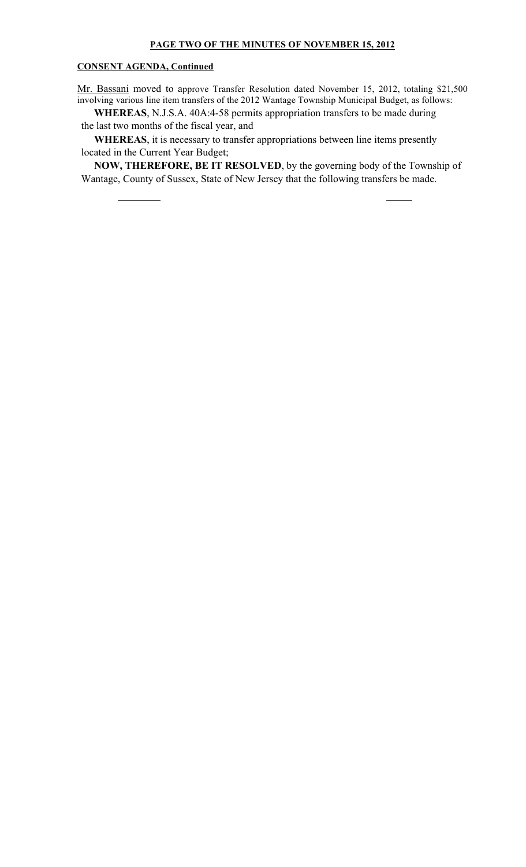#### **CONSENT AGENDA, Continued**

Mr. Bassani moved to approve Transfer Resolution dated November 15, 2012, totaling \$21,500 involving various line item transfers of the 2012 Wantage Township Municipal Budget, as follows:

 **WHEREAS**, N.J.S.A. 40A:4-58 permits appropriation transfers to be made during the last two months of the fiscal year, and

 **WHEREAS**, it is necessary to transfer appropriations between line items presently located in the Current Year Budget;

 **NOW, THEREFORE, BE IT RESOLVED**, by the governing body of the Township of Wantage, County of Sussex, State of New Jersey that the following transfers be made.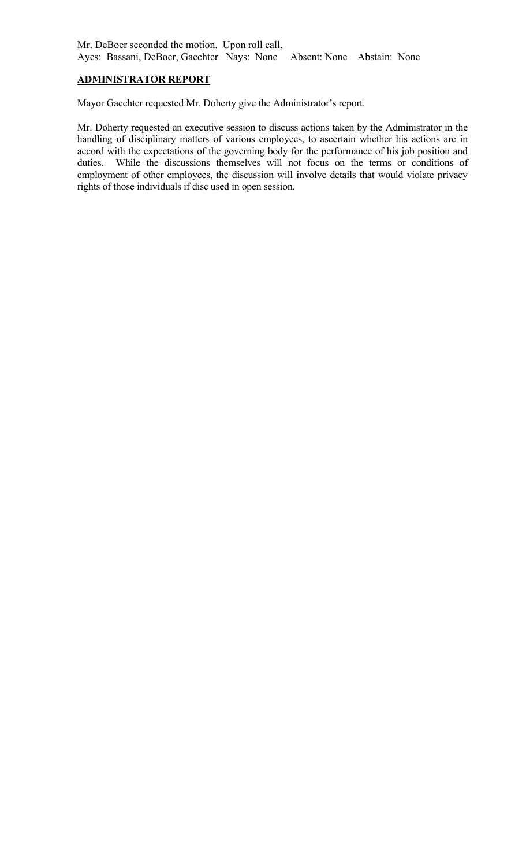## **ADMINISTRATOR REPORT**

Mayor Gaechter requested Mr. Doherty give the Administrator's report.

Mr. Doherty requested an executive session to discuss actions taken by the Administrator in the handling of disciplinary matters of various employees, to ascertain whether his actions are in accord with the expectations of the governing body for the performance of his job position and duties. While the discussions themselves will not focus on the terms or conditions of employment of other employees, the discussion will involve details that would violate privacy rights of those individuals if disc used in open session.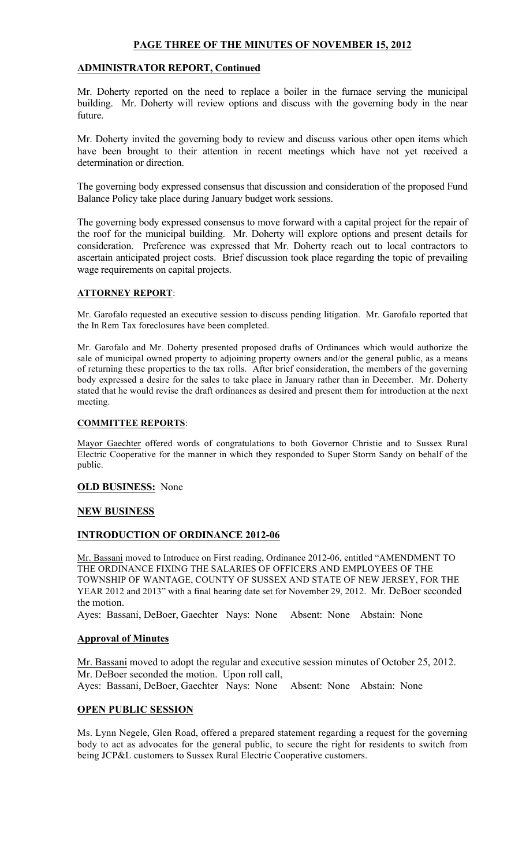### **PAGE THREE OF THE MINUTES OF NOVEMBER 15, 2012**

### **ADMINISTRATOR REPORT, Continued**

Mr. Doherty reported on the need to replace a boiler in the furnace serving the municipal building. Mr. Doherty will review options and discuss with the governing body in the near future.

Mr. Doherty invited the governing body to review and discuss various other open items which have been brought to their attention in recent meetings which have not yet received a determination or direction.

The governing body expressed consensus that discussion and consideration of the proposed Fund Balance Policy take place during January budget work sessions.

The governing body expressed consensus to move forward with a capital project for the repair of the roof for the municipal building. Mr. Doherty will explore options and present details for consideration. Preference was expressed that Mr. Doherty reach out to local contractors to ascertain anticipated project costs. Brief discussion took place regarding the topic of prevailing wage requirements on capital projects.

#### **ATTORNEY REPORT**:

Mr. Garofalo requested an executive session to discuss pending litigation. Mr. Garofalo reported that the In Rem Tax foreclosures have been completed.

Mr. Garofalo and Mr. Doherty presented proposed drafts of Ordinances which would authorize the sale of municipal owned property to adjoining property owners and/or the general public, as a means of returning these properties to the tax rolls. After brief consideration, the members of the governing body expressed a desire for the sales to take place in January rather than in December. Mr. Doherty stated that he would revise the draft ordinances as desired and present them for introduction at the next meeting.

### **COMMITTEE REPORTS**:

Mayor Gaechter offered words of congratulations to both Governor Christie and to Sussex Rural Electric Cooperative for the manner in which they responded to Super Storm Sandy on behalf of the public.

#### **OLD BUSINESS:** None

#### **NEW BUSINESS**

### **INTRODUCTION OF ORDINANCE 2012-06**

Mr. Bassani moved to Introduce on First reading, Ordinance 2012-06, entitled "AMENDMENT TO THE ORDINANCE FIXING THE SALARIES OF OFFICERS AND EMPLOYEES OF THE TOWNSHIP OF WANTAGE, COUNTY OF SUSSEX AND STATE OF NEW JERSEY, FOR THE YEAR 2012 and 2013" with a final hearing date set for November 29, 2012. Mr. DeBoer seconded the motion.

Ayes: Bassani, DeBoer, Gaechter Nays: None Absent: None Abstain: None

### **Approval of Minutes**

Mr. Bassani moved to adopt the regular and executive session minutes of October 25, 2012. Mr. DeBoer seconded the motion. Upon roll call, Ayes: Bassani, DeBoer, Gaechter Nays: None Absent: None Abstain: None

### **OPEN PUBLIC SESSION**

Ms. Lynn Negele, Glen Road, offered a prepared statement regarding a request for the governing body to act as advocates for the general public, to secure the right for residents to switch from being JCP&L customers to Sussex Rural Electric Cooperative customers.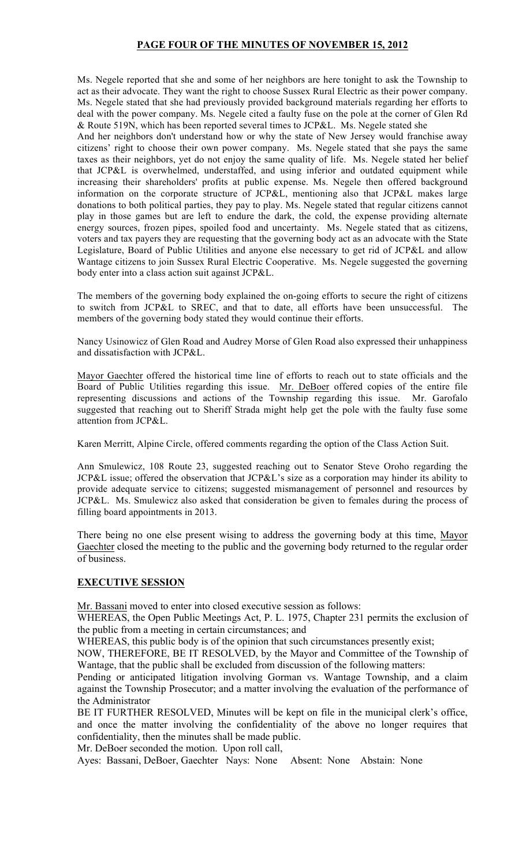## **PAGE FOUR OF THE MINUTES OF NOVEMBER 15, 2012**

Ms. Negele reported that she and some of her neighbors are here tonight to ask the Township to act as their advocate. They want the right to choose Sussex Rural Electric as their power company. Ms. Negele stated that she had previously provided background materials regarding her efforts to deal with the power company. Ms. Negele cited a faulty fuse on the pole at the corner of Glen Rd & Route 519N, which has been reported several times to JCP&L. Ms. Negele stated she

And her neighbors don't understand how or why the state of New Jersey would franchise away citizens' right to choose their own power company. Ms. Negele stated that she pays the same taxes as their neighbors, yet do not enjoy the same quality of life. Ms. Negele stated her belief that JCP&L is overwhelmed, understaffed, and using inferior and outdated equipment while increasing their shareholders' profits at public expense. Ms. Negele then offered background information on the corporate structure of JCP&L, mentioning also that JCP&L makes large donations to both political parties, they pay to play. Ms. Negele stated that regular citizens cannot play in those games but are left to endure the dark, the cold, the expense providing alternate energy sources, frozen pipes, spoiled food and uncertainty. Ms. Negele stated that as citizens, voters and tax payers they are requesting that the governing body act as an advocate with the State Legislature, Board of Public Utilities and anyone else necessary to get rid of JCP&L and allow Wantage citizens to join Sussex Rural Electric Cooperative. Ms. Negele suggested the governing body enter into a class action suit against JCP&L.

The members of the governing body explained the on-going efforts to secure the right of citizens to switch from JCP&L to SREC, and that to date, all efforts have been unsuccessful. The members of the governing body stated they would continue their efforts.

Nancy Usinowicz of Glen Road and Audrey Morse of Glen Road also expressed their unhappiness and dissatisfaction with JCP&L.

Mayor Gaechter offered the historical time line of efforts to reach out to state officials and the Board of Public Utilities regarding this issue. Mr. DeBoer offered copies of the entire file representing discussions and actions of the Township regarding this issue. Mr. Garofalo suggested that reaching out to Sheriff Strada might help get the pole with the faulty fuse some attention from JCP&L.

Karen Merritt, Alpine Circle, offered comments regarding the option of the Class Action Suit.

Ann Smulewicz, 108 Route 23, suggested reaching out to Senator Steve Oroho regarding the JCP&L issue; offered the observation that JCP&L's size as a corporation may hinder its ability to provide adequate service to citizens; suggested mismanagement of personnel and resources by JCP&L. Ms. Smulewicz also asked that consideration be given to females during the process of filling board appointments in 2013.

There being no one else present wising to address the governing body at this time, Mayor Gaechter closed the meeting to the public and the governing body returned to the regular order of business.

### **EXECUTIVE SESSION**

Mr. Bassani moved to enter into closed executive session as follows:

WHEREAS, the Open Public Meetings Act, P. L. 1975, Chapter 231 permits the exclusion of the public from a meeting in certain circumstances; and

WHEREAS, this public body is of the opinion that such circumstances presently exist;

NOW, THEREFORE, BE IT RESOLVED, by the Mayor and Committee of the Township of Wantage, that the public shall be excluded from discussion of the following matters:

Pending or anticipated litigation involving Gorman vs. Wantage Township, and a claim against the Township Prosecutor; and a matter involving the evaluation of the performance of the Administrator

BE IT FURTHER RESOLVED, Minutes will be kept on file in the municipal clerk's office, and once the matter involving the confidentiality of the above no longer requires that confidentiality, then the minutes shall be made public.

Mr. DeBoer seconded the motion. Upon roll call,

Ayes: Bassani, DeBoer, Gaechter Nays: None Absent: None Abstain: None